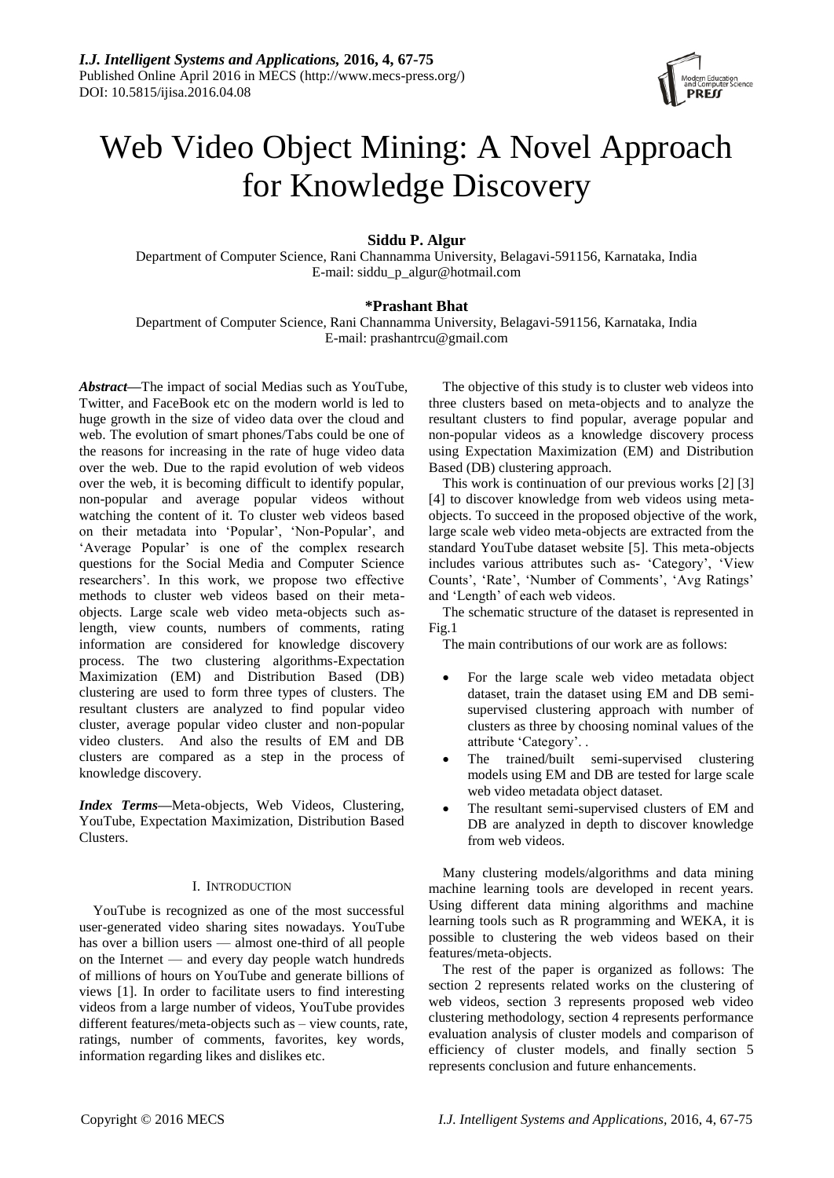

# Web Video Object Mining: A Novel Approach for Knowledge Discovery

**Siddu P. Algur**

Department of Computer Science, Rani Channamma University, Belagavi-591156, Karnataka, India E-mail: [siddu\\_p\\_algur@hotmail.com](mailto:siddu_p_algur@hotmail.com)

# **\*Prashant Bhat**

Department of Computer Science, Rani Channamma University, Belagavi-591156, Karnataka, India E-mail: [prashantrcu@gmail.com](mailto:prashantrcu@gmail.com)

*Abstract***—**The impact of social Medias such as YouTube, Twitter, and FaceBook etc on the modern world is led to huge growth in the size of video data over the cloud and web. The evolution of smart phones/Tabs could be one of the reasons for increasing in the rate of huge video data over the web. Due to the rapid evolution of web videos over the web, it is becoming difficult to identify popular, non-popular and average popular videos without watching the content of it. To cluster web videos based on their metadata into 'Popular', 'Non-Popular', and 'Average Popular' is one of the complex research questions for the Social Media and Computer Science researchers'. In this work, we propose two effective methods to cluster web videos based on their metaobjects. Large scale web video meta-objects such aslength, view counts, numbers of comments, rating information are considered for knowledge discovery process. The two clustering algorithms-Expectation Maximization (EM) and Distribution Based (DB) clustering are used to form three types of clusters. The resultant clusters are analyzed to find popular video cluster, average popular video cluster and non-popular video clusters. And also the results of EM and DB clusters are compared as a step in the process of knowledge discovery.

*Index Terms***—**Meta-objects, Web Videos, Clustering, YouTube, Expectation Maximization, Distribution Based Clusters.

# I. INTRODUCTION

YouTube is recognized as one of the most successful user-generated video sharing sites nowadays. YouTube has over a billion users — almost one-third of all people on the Internet — and every day people watch hundreds of millions of hours on YouTube and generate billions of views [1]. In order to facilitate users to find interesting videos from a large number of videos, YouTube provides different features/meta-objects such as – view counts, rate, ratings, number of comments, favorites, key words, information regarding likes and dislikes etc.

The objective of this study is to cluster web videos into three clusters based on meta-objects and to analyze the resultant clusters to find popular, average popular and non-popular videos as a knowledge discovery process using Expectation Maximization (EM) and Distribution Based (DB) clustering approach.

This work is continuation of our previous works [2] [3] [4] to discover knowledge from web videos using metaobjects. To succeed in the proposed objective of the work, large scale web video meta-objects are extracted from the standard YouTube dataset website [5]. This meta-objects includes various attributes such as- 'Category', 'View Counts', 'Rate', 'Number of Comments', 'Avg Ratings' and 'Length' of each web videos.

The schematic structure of the dataset is represented in Fig.1

The main contributions of our work are as follows:

- For the large scale web video metadata object dataset, train the dataset using EM and DB semisupervised clustering approach with number of clusters as three by choosing nominal values of the attribute 'Category'. .
- The trained/built semi-supervised clustering models using EM and DB are tested for large scale web video metadata object dataset.
- The resultant semi-supervised clusters of EM and DB are analyzed in depth to discover knowledge from web videos.

Many clustering models/algorithms and data mining machine learning tools are developed in recent years. Using different data mining algorithms and machine learning tools such as R programming and WEKA, it is possible to clustering the web videos based on their features/meta-objects.

The rest of the paper is organized as follows: The section 2 represents related works on the clustering of web videos, section 3 represents proposed web video clustering methodology, section 4 represents performance evaluation analysis of cluster models and comparison of efficiency of cluster models, and finally section 5 represents conclusion and future enhancements.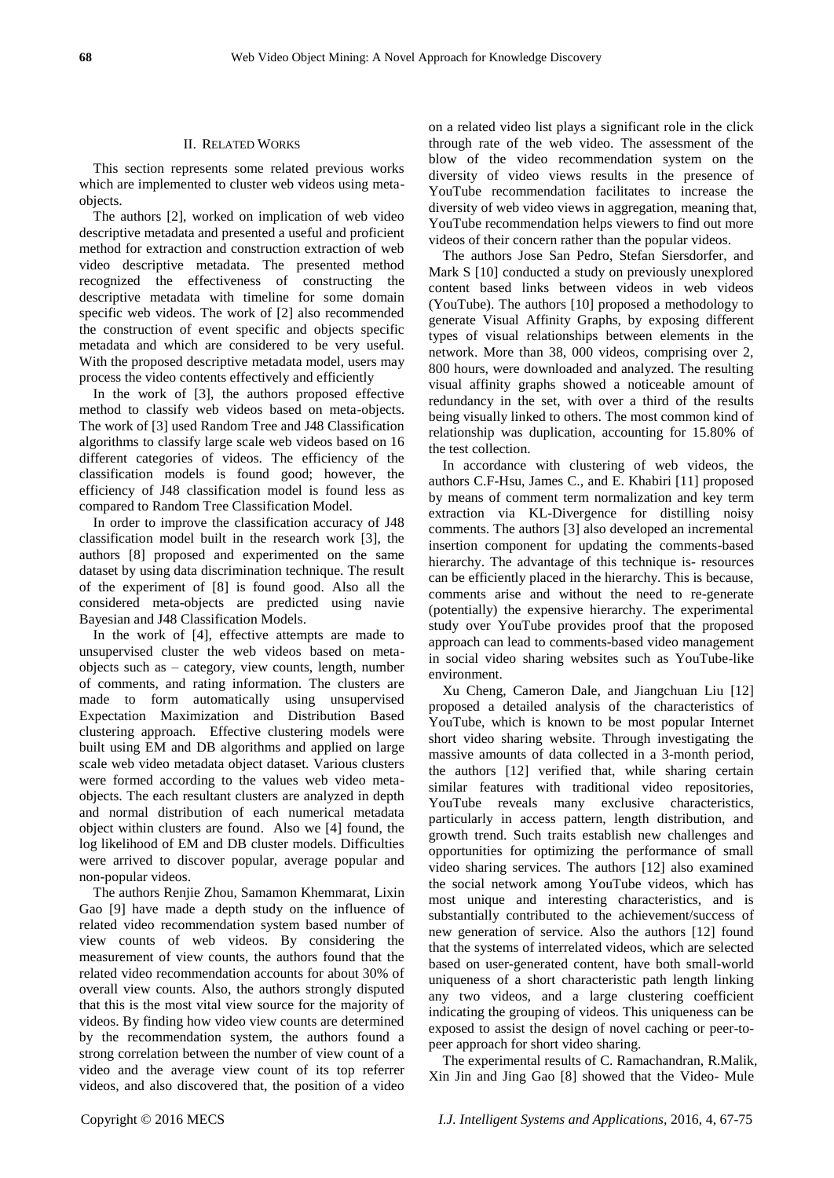### II. RELATED WORKS

This section represents some related previous works which are implemented to cluster web videos using metaobjects.

The authors [2], worked on implication of web video descriptive metadata and presented a useful and proficient method for extraction and construction extraction of web video descriptive metadata. The presented method recognized the effectiveness of constructing the descriptive metadata with timeline for some domain specific web videos. The work of [2] also recommended the construction of event specific and objects specific metadata and which are considered to be very useful. With the proposed descriptive metadata model, users may process the video contents effectively and efficiently

In the work of [3], the authors proposed effective method to classify web videos based on meta-objects. The work of [3] used Random Tree and J48 Classification algorithms to classify large scale web videos based on 16 different categories of videos. The efficiency of the classification models is found good; however, the efficiency of J48 classification model is found less as compared to Random Tree Classification Model.

In order to improve the classification accuracy of J48 classification model built in the research work [3], the authors [8] proposed and experimented on the same dataset by using data discrimination technique. The result of the experiment of [8] is found good. Also all the considered meta-objects are predicted using navie Bayesian and J48 Classification Models.

In the work of [4], effective attempts are made to unsupervised cluster the web videos based on metaobjects such as – category, view counts, length, number of comments, and rating information. The clusters are made to form automatically using unsupervised Expectation Maximization and Distribution Based clustering approach. Effective clustering models were built using EM and DB algorithms and applied on large scale web video metadata object dataset. Various clusters were formed according to the values web video metaobjects. The each resultant clusters are analyzed in depth and normal distribution of each numerical metadata object within clusters are found. Also we [4] found, the log likelihood of EM and DB cluster models. Difficulties were arrived to discover popular, average popular and non-popular videos.

The authors Renjie Zhou*,* Samamon Khemmarat, Lixin Gao [9] have made a depth study on the influence of related video recommendation system based number of view counts of web videos. By considering the measurement of view counts, the authors found that the related video recommendation accounts for about 30% of overall view counts. Also, the authors strongly disputed that this is the most vital view source for the majority of videos. By finding how video view counts are determined by the recommendation system, the authors found a strong correlation between the number of view count of a video and the average view count of its top referrer videos, and also discovered that, the position of a video

on a related video list plays a significant role in the click through rate of the web video. The assessment of the blow of the video recommendation system on the diversity of video views results in the presence of YouTube recommendation facilitates to increase the diversity of web video views in aggregation, meaning that, YouTube recommendation helps viewers to find out more videos of their concern rather than the popular videos.

The authors Jose San Pedro, Stefan Siersdorfer, and Mark S [10] conducted a study on previously unexplored content based links between videos in web videos (YouTube). The authors [10] proposed a methodology to generate Visual Affinity Graphs, by exposing different types of visual relationships between elements in the network. More than 38, 000 videos, comprising over 2, 800 hours, were downloaded and analyzed. The resulting visual affinity graphs showed a noticeable amount of redundancy in the set, with over a third of the results being visually linked to others. The most common kind of relationship was duplication, accounting for 15.80% of the test collection.

In accordance with clustering of web videos, the authors C.F-Hsu, James C., and E. Khabiri [11] proposed by means of comment term normalization and key term extraction via KL-Divergence for distilling noisy comments. The authors [3] also developed an incremental insertion component for updating the comments-based hierarchy. The advantage of this technique is- resources can be efficiently placed in the hierarchy. This is because, comments arise and without the need to re-generate (potentially) the expensive hierarchy. The experimental study over YouTube provides proof that the proposed approach can lead to comments-based video management in social video sharing websites such as YouTube-like environment.

Xu Cheng, Cameron Dale, and Jiangchuan Liu [12] proposed a detailed analysis of the characteristics of YouTube, which is known to be most popular Internet short video sharing website. Through investigating the massive amounts of data collected in a 3-month period, the authors [12] verified that, while sharing certain similar features with traditional video repositories, YouTube reveals many exclusive characteristics, particularly in access pattern, length distribution, and growth trend. Such traits establish new challenges and opportunities for optimizing the performance of small video sharing services. The authors [12] also examined the social network among YouTube videos, which has most unique and interesting characteristics, and is substantially contributed to the achievement/success of new generation of service. Also the authors [12] found that the systems of interrelated videos, which are selected based on user-generated content, have both small-world uniqueness of a short characteristic path length linking any two videos, and a large clustering coefficient indicating the grouping of videos. This uniqueness can be exposed to assist the design of novel caching or peer-topeer approach for short video sharing.

The experimental results of C. Ramachandran, R.Malik, Xin Jin and Jing Gao [8] showed that the Video- Mule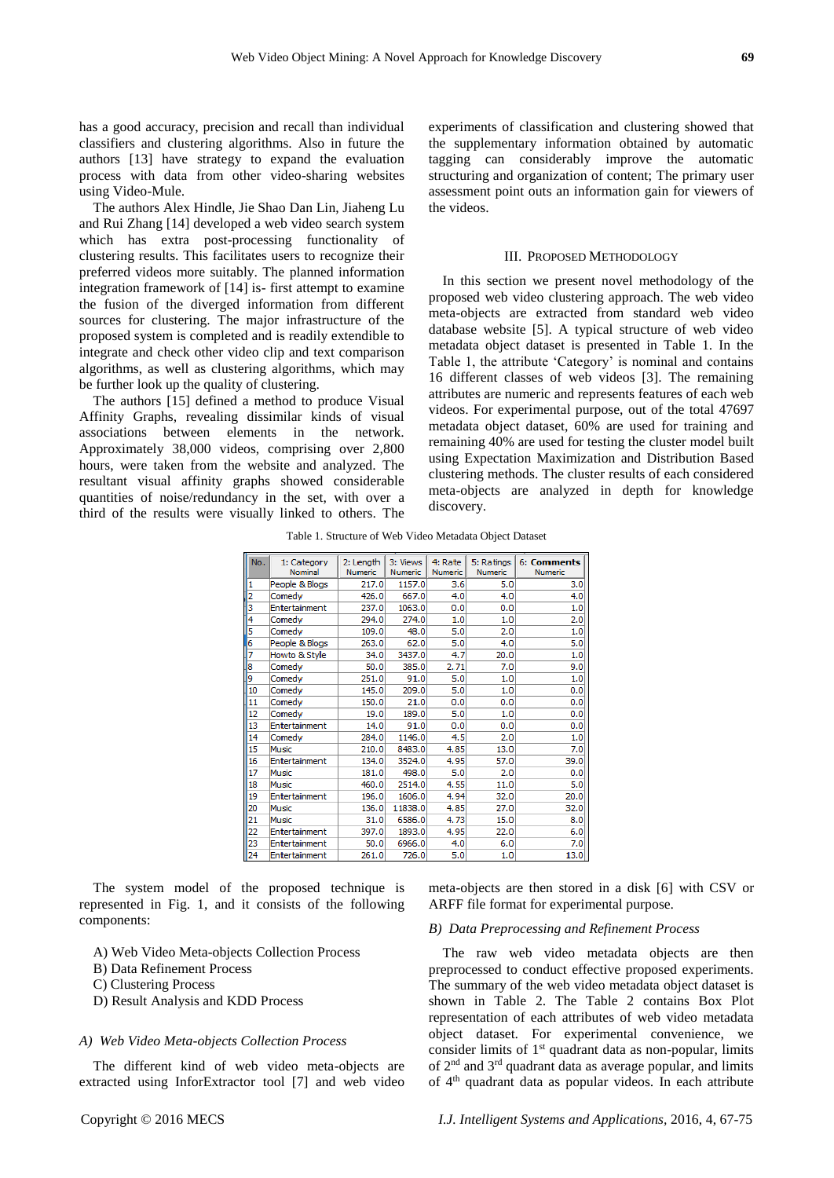has a good accuracy, precision and recall than individual classifiers and clustering algorithms. Also in future the authors [13] have strategy to expand the evaluation process with data from other video-sharing websites using Video-Mule.

The authors Alex Hindle, Jie Shao Dan Lin, Jiaheng Lu and Rui Zhang [14] developed a web video search system which has extra post-processing functionality of clustering results. This facilitates users to recognize their preferred videos more suitably. The planned information integration framework of [14] is- first attempt to examine the fusion of the diverged information from different sources for clustering. The major infrastructure of the proposed system is completed and is readily extendible to integrate and check other video clip and text comparison algorithms, as well as clustering algorithms, which may be further look up the quality of clustering.

The authors [15] defined a method to produce Visual Affinity Graphs, revealing dissimilar kinds of visual associations between elements in the network. Approximately 38,000 videos, comprising over 2,800 hours, were taken from the website and analyzed. The resultant visual affinity graphs showed considerable quantities of noise/redundancy in the set, with over a third of the results were visually linked to others. The

experiments of classification and clustering showed that the supplementary information obtained by automatic tagging can considerably improve the automatic structuring and organization of content; The primary user assessment point outs an information gain for viewers of the videos.

#### III. PROPOSED METHODOLOGY

In this section we present novel methodology of the proposed web video clustering approach. The web video meta-objects are extracted from standard web video database website [5]. A typical structure of web video metadata object dataset is presented in Table 1. In the Table 1, the attribute 'Category' is nominal and contains 16 different classes of web videos [3]. The remaining attributes are numeric and represents features of each web videos. For experimental purpose, out of the total 47697 metadata object dataset, 60% are used for training and remaining 40% are used for testing the cluster model built using Expectation Maximization and Distribution Based clustering methods. The cluster results of each considered meta-objects are analyzed in depth for knowledge discovery.

Table 1. Structure of Web Video Metadata Object Dataset

| No. | 1: Category<br>Nominal | 2: Length<br>Numeric | 3: Views<br><b>Numeric</b> | 4: Rate<br>Numeric | 5: Ratings<br>Numeric | 6: Comments<br>Numeric |
|-----|------------------------|----------------------|----------------------------|--------------------|-----------------------|------------------------|
| 1   | People & Blogs         | 217.0                | 1157.0                     | 3.6                | 5.0                   | 3.0                    |
| 2   | Comedy                 | 426.0                | 667.0                      | 4.0                | 4.0                   | 4.0                    |
| з   | Entertainment          | 237.0                | 1063.0                     | 0.0                | 0.0                   | 1.0                    |
| 4   | Comedy                 | 294.0                | 274.0                      | 1.0                | 1.0                   | 2.0                    |
| 5   | Comedy                 | 109.0                | 48.0                       | 5.0                | 2.0                   | 1.0                    |
| 6   | People & Blogs         | 263.0                | 62.0                       | 5.0                | 4.0                   | 5.0                    |
| 7   | Howto & Style          | 34.0                 | 3437.0                     | 4.7                | 20.0                  | 1.0                    |
| 8   | Comedy                 | 50.0                 | 385.0                      | 2.71               | 7.0                   | 9.0                    |
| 19  | Comedy                 | 251.0                | 91.0                       | 5.0                | 1.0                   | 1.0                    |
| 10  | Comedy                 | 145.0                | 209.0                      | 5.0                | 1.0                   | 0.0                    |
| 11  | Comedy                 | 150.0                | 21.0                       | 0.0                | 0.0                   | 0.0                    |
| 12  | Comedy                 | 19.0                 | 189.0                      | 5.0                | 1.0                   | 0.0                    |
| 13  | Entertainment          | 14.0                 | 91.0                       | 0.0                | 0.0                   | 0.0                    |
| 14  | Comedy                 | 284.0                | 1146.0                     | 4.5                | 2.0                   | 1.0                    |
| 15  | Music                  | 210.0                | 8483.0                     | 4.85               | 13.0                  | 7.0                    |
| 16  | Entertainment          | 134.0                | 3524.0                     | 4.95               | 57.0                  | 39.0                   |
| 17  | Music                  | 181.0                | 498.0                      | 5.0                | 2.0                   | 0.0                    |
| 18  | Music                  | 460.0                | 2514.0                     | 4.55               | 11.0                  | 5.0                    |
| 19  | Entertainment          | 196.0                | 1606.0                     | 4.94               | 32.0                  | 20.0                   |
| 20  | Music                  | 136.0                | 11838.0                    | 4.85               | 27.0                  | 32.0                   |
| 21  | Music                  | 31.0                 | 6586.0                     | 4.73               | 15.0                  | 8.0                    |
| 22  | Entertainment          | 397.0                | 1893.0                     | 4.95               | 22.0                  | 6.0                    |
| 23  | Entertainment          | 50.0                 | 6966.0                     | 4.0                | 6.0                   | 7.0                    |
| 24  | Entertainment          | 261.0                | 726.0                      | 5.0                | 1.0                   | 13.0                   |

The system model of the proposed technique is represented in Fig. 1, and it consists of the following components:

- A) Web Video Meta-objects Collection Process
- B) Data Refinement Process
- C) Clustering Process
- D) Result Analysis and KDD Process

# *A) Web Video Meta-objects Collection Process*

The different kind of web video meta-objects are extracted using InforExtractor tool [7] and web video meta-objects are then stored in a disk [6] with CSV or ARFF file format for experimental purpose.

# *B) Data Preprocessing and Refinement Process*

The raw web video metadata objects are then preprocessed to conduct effective proposed experiments. The summary of the web video metadata object dataset is shown in Table 2. The Table 2 contains Box Plot representation of each attributes of web video metadata object dataset. For experimental convenience, we consider limits of  $1<sup>st</sup>$  quadrant data as non-popular, limits of 2nd and 3rd quadrant data as average popular, and limits of 4th quadrant data as popular videos. In each attribute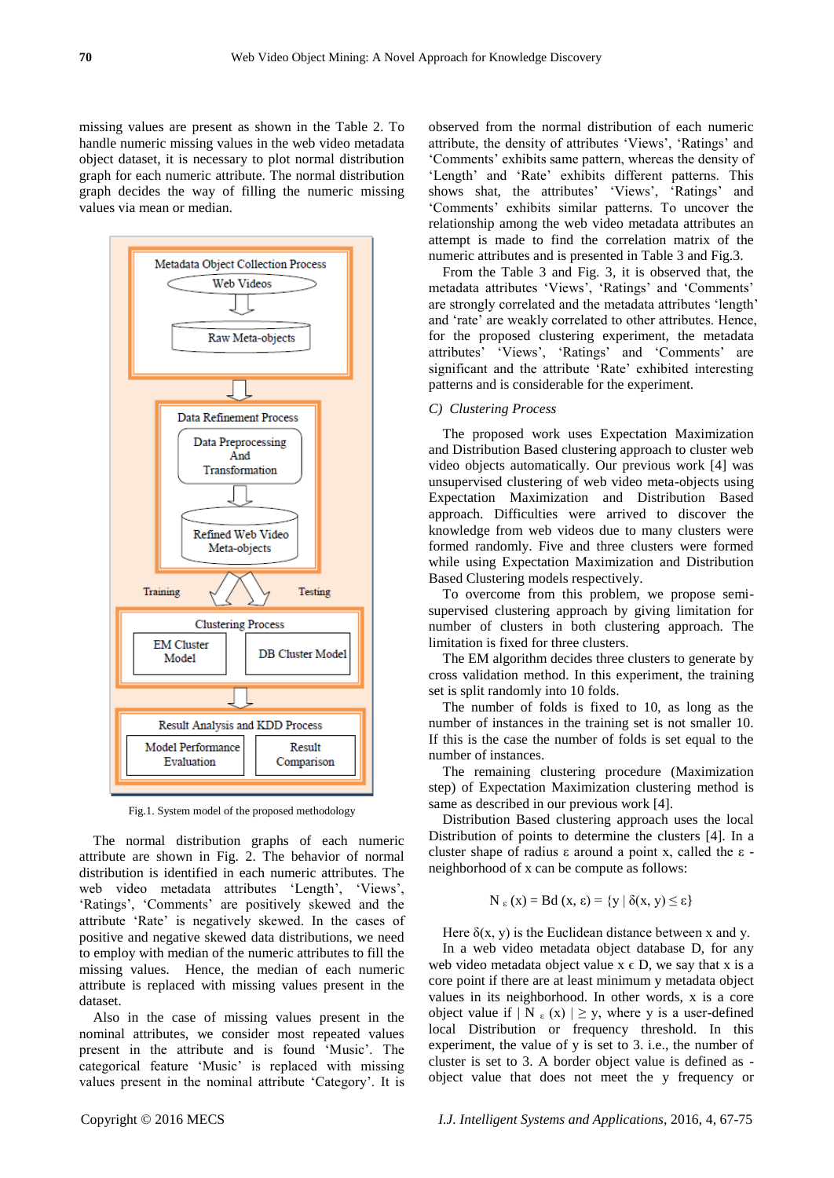missing values are present as shown in the Table 2. To handle numeric missing values in the web video metadata object dataset, it is necessary to plot normal distribution graph for each numeric attribute. The normal distribution graph decides the way of filling the numeric missing values via mean or median.



Fig.1. System model of the proposed methodology

The normal distribution graphs of each numeric attribute are shown in Fig. 2. The behavior of normal distribution is identified in each numeric attributes. The web video metadata attributes 'Length', 'Views', 'Ratings', 'Comments' are positively skewed and the attribute 'Rate' is negatively skewed. In the cases of positive and negative skewed data distributions, we need to employ with median of the numeric attributes to fill the missing values. Hence, the median of each numeric attribute is replaced with missing values present in the dataset.

Also in the case of missing values present in the nominal attributes, we consider most repeated values present in the attribute and is found 'Music'. The categorical feature 'Music' is replaced with missing values present in the nominal attribute 'Category'. It is observed from the normal distribution of each numeric attribute, the density of attributes 'Views', 'Ratings' and 'Comments' exhibits same pattern, whereas the density of 'Length' and 'Rate' exhibits different patterns. This shows shat, the attributes' 'Views', 'Ratings' and 'Comments' exhibits similar patterns. To uncover the relationship among the web video metadata attributes an attempt is made to find the correlation matrix of the numeric attributes and is presented in Table 3 and Fig.3.

From the Table 3 and Fig. 3, it is observed that, the metadata attributes 'Views', 'Ratings' and 'Comments' are strongly correlated and the metadata attributes 'length' and 'rate' are weakly correlated to other attributes. Hence, for the proposed clustering experiment, the metadata attributes' 'Views', 'Ratings' and 'Comments' are significant and the attribute 'Rate' exhibited interesting patterns and is considerable for the experiment.

### *C) Clustering Process*

The proposed work uses Expectation Maximization and Distribution Based clustering approach to cluster web video objects automatically. Our previous work [4] was unsupervised clustering of web video meta-objects using Expectation Maximization and Distribution Based approach. Difficulties were arrived to discover the knowledge from web videos due to many clusters were formed randomly. Five and three clusters were formed while using Expectation Maximization and Distribution Based Clustering models respectively.

To overcome from this problem, we propose semisupervised clustering approach by giving limitation for number of clusters in both clustering approach. The limitation is fixed for three clusters.

The EM algorithm decides three clusters to generate by cross validation method. In this experiment, the training set is split randomly into 10 folds.

The number of folds is fixed to 10, as long as the number of instances in the training set is not smaller 10. If this is the case the number of folds is set equal to the number of instances.

The remaining clustering procedure (Maximization step) of Expectation Maximization clustering method is same as described in our previous work [4].

Distribution Based clustering approach uses the local Distribution of points to determine the clusters [4]. In a cluster shape of radius ε around a point x, called the ε neighborhood of x can be compute as follows:

$$
N_{\epsilon}(x) = Bd(x, \epsilon) = \{y \mid \delta(x, y) \leq \epsilon\}
$$

Here  $\delta(x, y)$  is the Euclidean distance between x and y.

In a web video metadata object database D, for any web video metadata object value  $x \in D$ , we say that x is a core point if there are at least minimum y metadata object values in its neighborhood. In other words, x is a core object value if  $|N_{\epsilon}(x)| \geq y$ , where y is a user-defined local Distribution or frequency threshold. In this experiment, the value of y is set to 3. i.e., the number of cluster is set to 3. A border object value is defined as object value that does not meet the y frequency or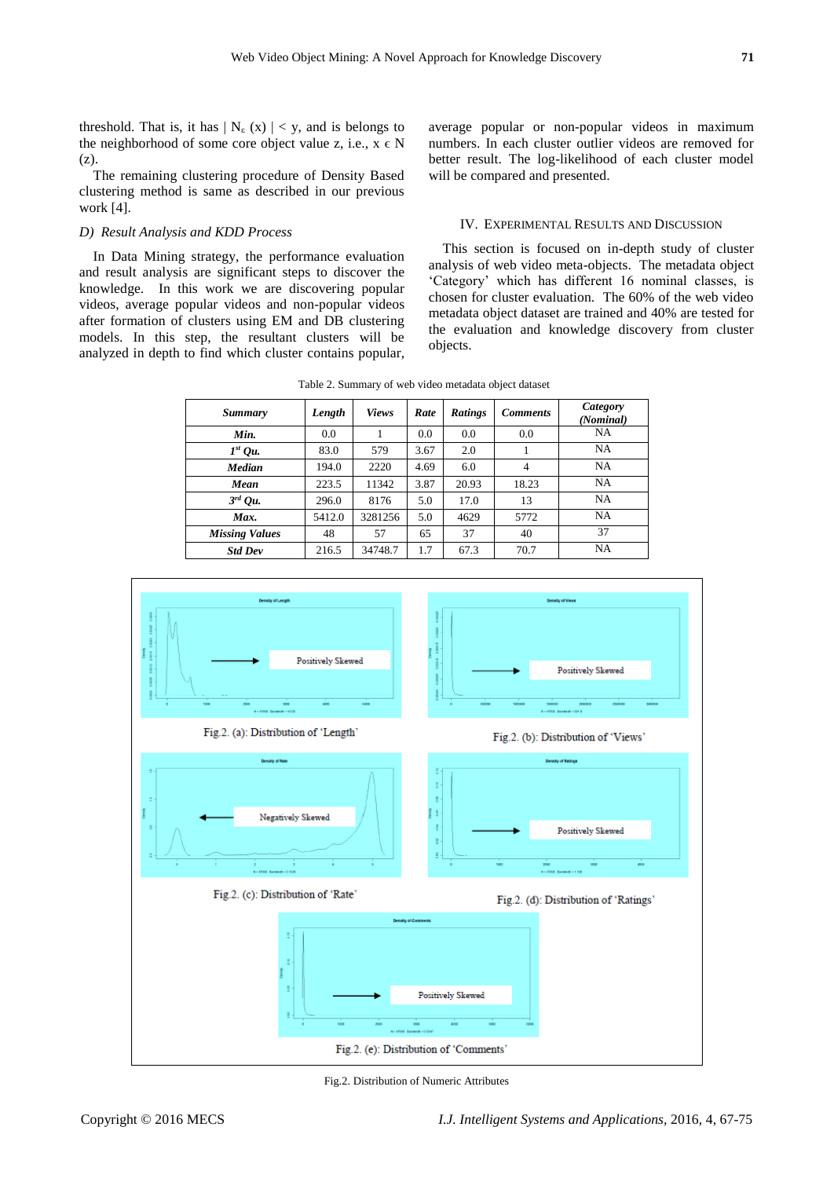threshold. That is, it has  $| N_{\epsilon}(x) | < y$ , and is belongs to the neighborhood of some core object value z, i.e.,  $x \in N$ (z).

The remaining clustering procedure of Density Based clustering method is same as described in our previous work [4].

### *D) Result Analysis and KDD Process*

In Data Mining strategy, the performance evaluation and result analysis are significant steps to discover the knowledge. In this work we are discovering popular videos, average popular videos and non-popular videos after formation of clusters using EM and DB clustering models. In this step, the resultant clusters will be analyzed in depth to find which cluster contains popular, average popular or non-popular videos in maximum numbers. In each cluster outlier videos are removed for better result. The log-likelihood of each cluster model will be compared and presented.

# IV. EXPERIMENTAL RESULTS AND DISCUSSION

This section is focused on in-depth study of cluster analysis of web video meta-objects. The metadata object 'Category' which has different 16 nominal classes, is chosen for cluster evaluation. The 60% of the web video metadata object dataset are trained and 40% are tested for the evaluation and knowledge discovery from cluster objects.

| Table 2. Summary of web video metadata object dataset |  |  |  |  |  |  |
|-------------------------------------------------------|--|--|--|--|--|--|
|-------------------------------------------------------|--|--|--|--|--|--|

| <b>Summary</b>        | Length | <b>Views</b> | Rate | <b>Ratings</b> | <b>Comments</b> | Category<br>(Nominal) |
|-----------------------|--------|--------------|------|----------------|-----------------|-----------------------|
| Min.                  | 0.0    |              | 0.0  | 0.0            | 0.0             | NA                    |
| $Ist$ Ou.             | 83.0   | 579          | 3.67 | 2.0            |                 | <b>NA</b>             |
| <b>Median</b>         | 194.0  | 2220         | 4.69 | 6.0            | 4               | NA                    |
| Mean                  | 223.5  | 11342        | 3.87 | 20.93          | 18.23           | <b>NA</b>             |
| $3^{rd}$ Qu.          | 296.0  | 8176         | 5.0  | 17.0           | 13              | NA                    |
| Max.                  | 5412.0 | 3281256      | 5.0  | 4629           | 5772            | <b>NA</b>             |
| <b>Missing Values</b> | 48     | 57           | 65   | 37             | 40              | 37                    |
| <b>Std Dev</b>        | 216.5  | 34748.7      | 1.7  | 67.3           | 70.7            | NA                    |



Fig.2. Distribution of Numeric Attributes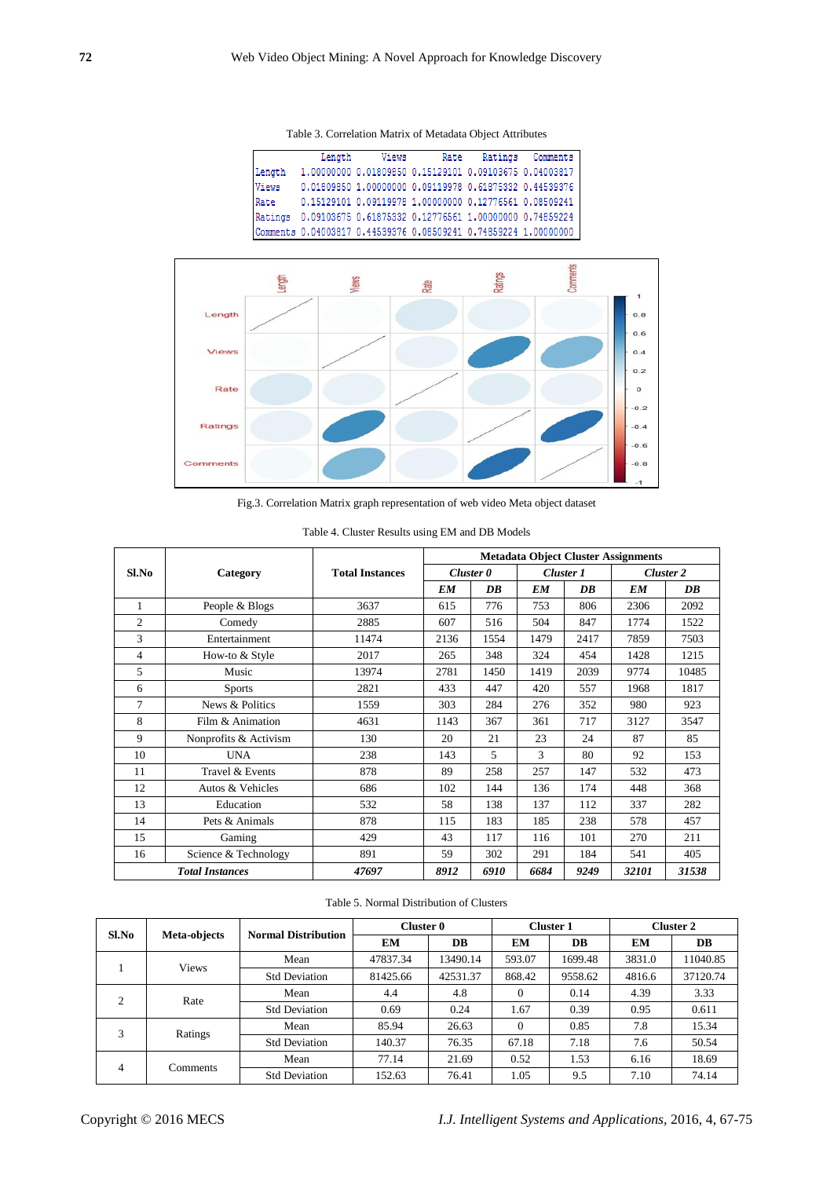Table 3. Correlation Matrix of Metadata Object Attributes

|        | Length                                                          | Views                                                  | Rate | Ratings | Comments |
|--------|-----------------------------------------------------------------|--------------------------------------------------------|------|---------|----------|
| Length | 1,00000000 0,01809850 0,15129101 0,09103675 0,04003817          |                                                        |      |         |          |
| Views  |                                                                 | 0.01809850 1.00000000 0.09119978 0.61875332 0.44539376 |      |         |          |
| Rate   | 0.15129101 0.09119978 1.00000000 0.12776561 0.08509241          |                                                        |      |         |          |
|        | Ratings 0.09103675 0.61875332 0.12776561 1.00000000 0.74859224  |                                                        |      |         |          |
|        | Comments 0.04003817 0.44539376 0.08509241 0.74859224 1.00000000 |                                                        |      |         |          |



Fig.3. Correlation Matrix graph representation of web video Meta object dataset

|                |                        | <b>Total Instances</b> | <b>Metadata Object Cluster Assignments</b> |           |                       |           |           |           |
|----------------|------------------------|------------------------|--------------------------------------------|-----------|-----------------------|-----------|-----------|-----------|
| Sl.No          | Category               |                        |                                            | Cluster 0 |                       | Cluster 1 |           | Cluster 2 |
|                |                        |                        | <b>EM</b>                                  | DB        | <b>EM</b>             | DB        | <b>EM</b> | DB        |
| 1              | People & Blogs         | 3637                   | 615                                        | 776       | 753                   | 806       | 2306      | 2092      |
| $\overline{c}$ | Comedy                 | 2885                   | 607                                        | 516       | 504                   | 847       | 1774      | 1522      |
| 3              | Entertainment          | 11474                  | 2136                                       | 1554      | 1479                  | 2417      | 7859      | 7503      |
| $\overline{4}$ | How-to & Style         | 2017                   | 265                                        | 348       | 324                   | 454       | 1428      | 1215      |
| 5              | Music                  | 13974                  | 2781                                       | 1450      | 1419                  | 2039      | 9774      | 10485     |
| 6              | <b>Sports</b>          | 2821                   | 433                                        | 447       | 420                   | 557       | 1968      | 1817      |
| $\overline{7}$ | News & Politics        | 1559                   | 303                                        | 284       | 276                   | 352       | 980       | 923       |
| 8              | Film & Animation       | 4631                   | 1143                                       | 367       | 361                   | 717       | 3127      | 3547      |
| 9              | Nonprofits & Activism  | 130                    | 20                                         | 21        | 23                    | 24        | 87        | 85        |
| 10             | <b>UNA</b>             | 238                    | 143                                        | 5         | 3                     | 80        | 92        | 153       |
| 11             | Travel & Events        | 878                    | 89                                         | 258       | 257                   | 147       | 532       | 473       |
| 12             | Autos & Vehicles       | 686                    | 102                                        | 144       | 136                   | 174       | 448       | 368       |
| 13             | Education              | 532                    | 58                                         | 138       | 137                   | 112       | 337       | 282       |
| 14             | Pets & Animals         | 878                    | 115                                        | 183       | 185                   | 238       | 578       | 457       |
| 15             | Gaming                 | 429                    | 43                                         | 117       | 116                   | 101       | 270       | 211       |
| 16             | Science & Technology   | 891                    | 59                                         | 302       | 291                   | 184       | 541       | 405       |
|                | <b>Total Instances</b> | 47697                  | 8912                                       | 6910      | 9249<br>32101<br>6684 |           | 31538     |           |

Table 4. Cluster Results using EM and DB Models

# Table 5. Normal Distribution of Clusters

| Sl.No          | Meta-objects    | <b>Normal Distribution</b> | Cluster 0 |          |          | <b>Cluster 1</b> | <b>Cluster 2</b>                                     |          |
|----------------|-----------------|----------------------------|-----------|----------|----------|------------------|------------------------------------------------------|----------|
|                |                 |                            | EМ        | DB       | EМ       | DB               | EM                                                   | DB       |
|                | <b>Views</b>    | Mean                       | 47837.34  | 13490.14 | 593.07   | 1699.48          | 3831.0                                               | 11040.85 |
|                |                 | <b>Std Deviation</b>       | 81425.66  | 42531.37 | 868.42   | 9558.62          | 4816.6<br>4.39<br>0.95<br>7.8<br>7.6<br>6.16<br>7.10 | 37120.74 |
| 2              | Rate            | Mean                       | 4.4       | 4.8      | $\Omega$ | 0.14             |                                                      | 3.33     |
|                |                 | <b>Std Deviation</b>       | 0.69      | 0.24     | 1.67     | 0.39             |                                                      | 0.611    |
| 3              | Ratings         | Mean                       | 85.94     | 26.63    | $\Omega$ | 0.85             |                                                      | 15.34    |
|                |                 | <b>Std Deviation</b>       | 140.37    | 76.35    | 67.18    | 7.18             |                                                      | 50.54    |
| $\overline{4}$ | <b>Comments</b> | Mean                       | 77.14     | 21.69    | 0.52     | 1.53             |                                                      | 18.69    |
|                |                 | <b>Std Deviation</b>       | 152.63    | 76.41    | 1.05     | 9.5              |                                                      | 74.14    |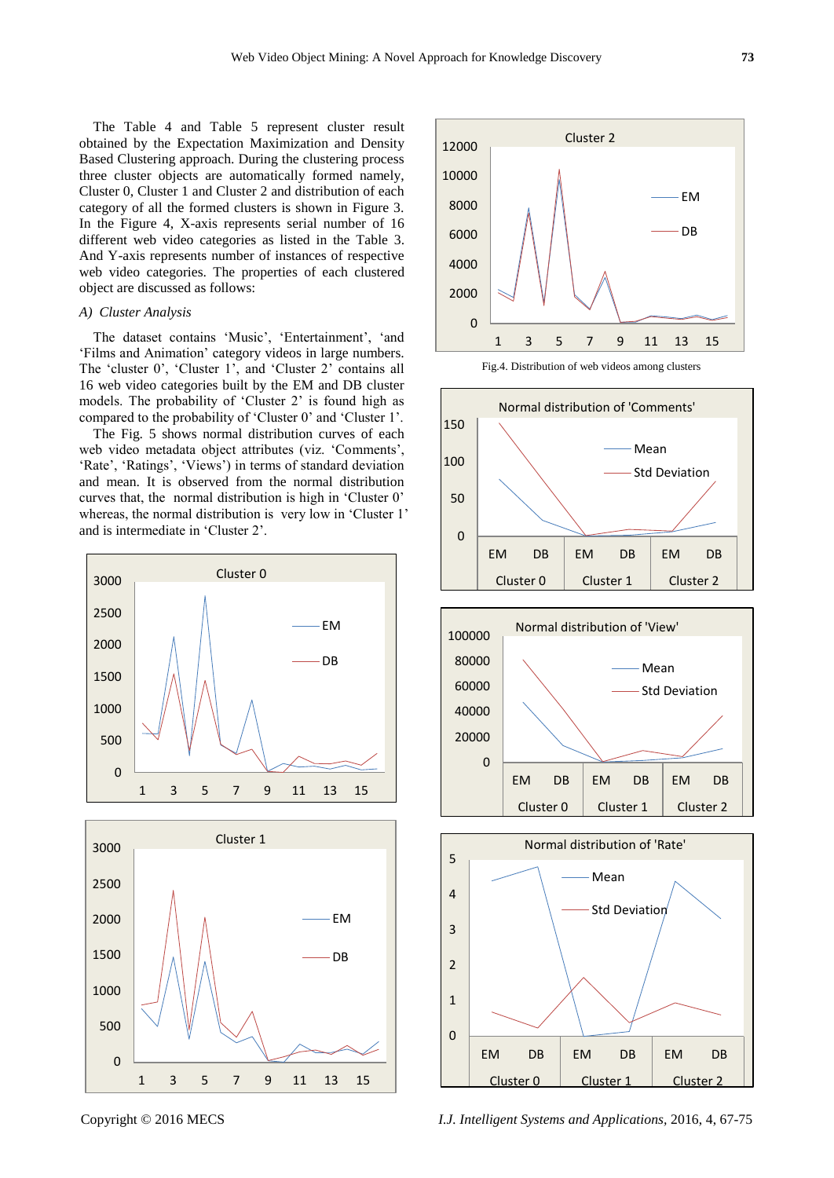The Table 4 and Table 5 represent cluster result obtained by the Expectation Maximization and Density Based Clustering approach. During the clustering process three cluster objects are automatically formed namely, Cluster 0, Cluster 1 and Cluster 2 and distribution of each category of all the formed clusters is shown in Figure 3. In the Figure 4, X-axis represents serial number of 16 different web video categories as listed in the Table 3. And Y-axis represents number of instances of respective web video categories. The properties of each clustered object are discussed as follows:

# *A) Cluster Analysis*

The dataset contains 'Music', 'Entertainment', 'and 'Films and Animation' category videos in large numbers. The 'cluster 0', 'Cluster 1', and 'Cluster 2' contains all 16 web video categories built by the EM and DB cluster models. The probability of 'Cluster 2' is found high as compared to the probability of 'Cluster 0' and 'Cluster 1'.

The Fig. 5 shows normal distribution curves of each web video metadata object attributes (viz. 'Comments', 'Rate', 'Ratings', 'Views') in terms of standard deviation and mean. It is observed from the normal distribution curves that, the normal distribution is high in 'Cluster 0' whereas, the normal distribution is very low in 'Cluster 1' and is intermediate in 'Cluster 2'.













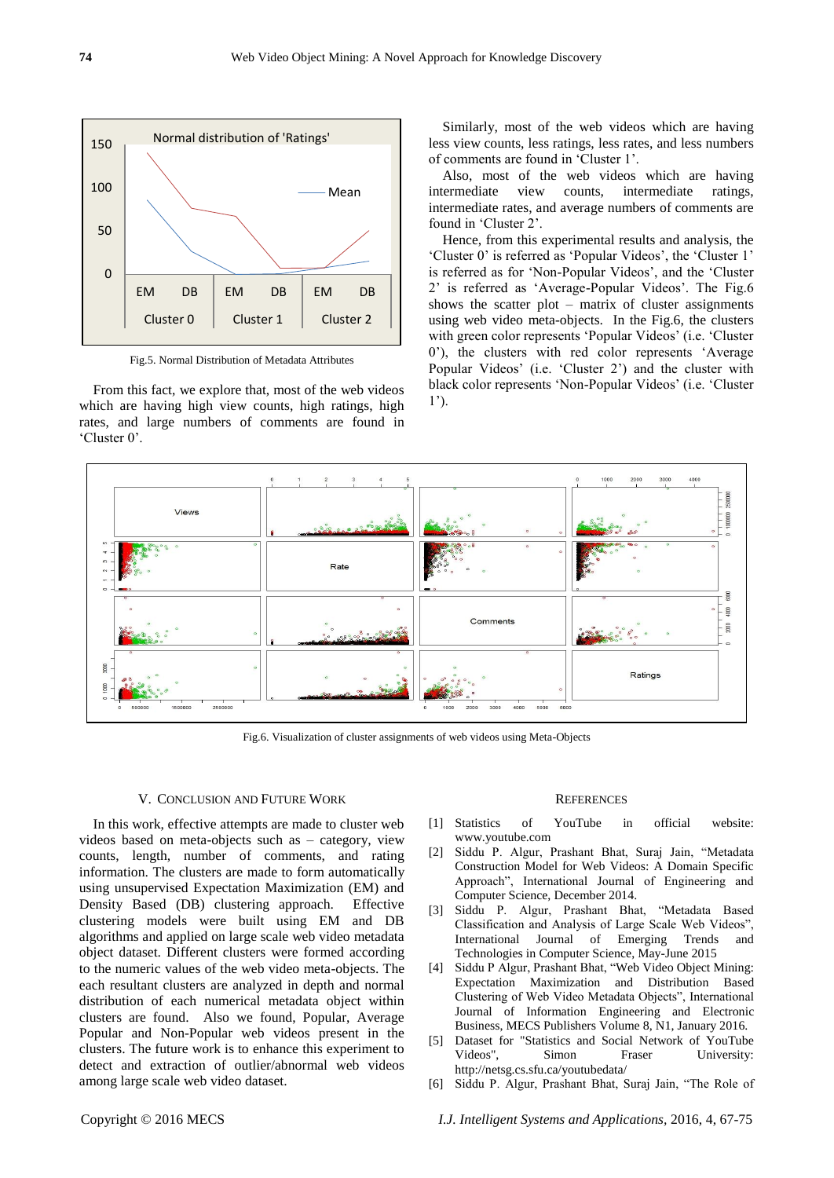

Fig.5. Normal Distribution of Metadata Attributes

From this fact, we explore that, most of the web videos which are having high view counts, high ratings, high rates, and large numbers of comments are found in 'Cluster 0'.

Similarly, most of the web videos which are having less view counts, less ratings, less rates, and less numbers of comments are found in 'Cluster 1'.

Also, most of the web videos which are having intermediate view counts, intermediate ratings, intermediate rates, and average numbers of comments are found in 'Cluster 2'.

Hence, from this experimental results and analysis, the 'Cluster 0' is referred as 'Popular Videos', the 'Cluster 1' is referred as for 'Non-Popular Videos', and the 'Cluster 2' is referred as 'Average-Popular Videos'. The Fig.6 shows the scatter plot – matrix of cluster assignments using web video meta-objects. In the Fig.6, the clusters with green color represents 'Popular Videos' (i.e. 'Cluster 0'), the clusters with red color represents 'Average Popular Videos' (i.e. 'Cluster 2') and the cluster with black color represents 'Non-Popular Videos' (i.e. 'Cluster 1').



Fig.6. Visualization of cluster assignments of web videos using Meta-Objects

#### V. CONCLUSION AND FUTURE WORK

In this work, effective attempts are made to cluster web videos based on meta-objects such as – category, view counts, length, number of comments, and rating information. The clusters are made to form automatically using unsupervised Expectation Maximization (EM) and Density Based (DB) clustering approach. Effective clustering models were built using EM and DB algorithms and applied on large scale web video metadata object dataset. Different clusters were formed according to the numeric values of the web video meta-objects. The each resultant clusters are analyzed in depth and normal distribution of each numerical metadata object within clusters are found. Also we found, Popular, Average Popular and Non-Popular web videos present in the clusters. The future work is to enhance this experiment to detect and extraction of outlier/abnormal web videos among large scale web video dataset.

#### **REFERENCES**

- [1] Statistics of YouTube in official website: www.youtube.com
- [2] Siddu P. Algur, Prashant Bhat, Suraj Jain, "Metadata Construction Model for Web Videos: A Domain Specific Approach", International Journal of Engineering and Computer Science, December 2014.
- [3] Siddu P. Algur, Prashant Bhat, "Metadata Based Classification and Analysis of Large Scale Web Videos", International Journal of Emerging Trends and Technologies in Computer Science, May-June 2015
- [4] Siddu P Algur, Prashant Bhat, "Web Video Object Mining: Expectation Maximization and Distribution Based Clustering of Web Video Metadata Objects", International Journal of Information Engineering and Electronic Business, MECS Publishers Volume 8, N1, January 2016.
- [5] Dataset for "Statistics and Social Network of YouTube Videos", Simon Fraser University: http://netsg.cs.sfu.ca/youtubedata/
- [6] Siddu P. Algur, Prashant Bhat, Suraj Jain, "The Role of